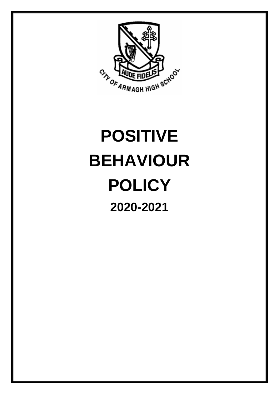

# **POSITIVE BEHAVIOUR POLICY 2020-2021**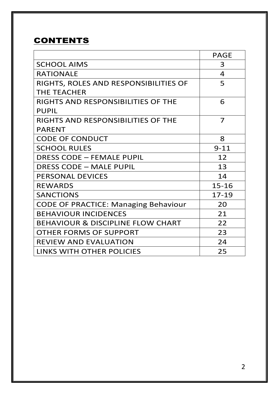## **CONTENTS**

|                                              | <b>PAGE</b>    |
|----------------------------------------------|----------------|
| <b>SCHOOL AIMS</b>                           | 3              |
| <b>RATIONALE</b>                             | $\overline{4}$ |
| RIGHTS, ROLES AND RESPONSIBILITIES OF        | 5              |
| THE TEACHER                                  |                |
| RIGHTS AND RESPONSIBILITIES OF THE           | 6              |
| <b>PUPIL</b>                                 |                |
| RIGHTS AND RESPONSIBILITIES OF THE           | 7              |
| <b>PARENT</b>                                |                |
| <b>CODE OF CONDUCT</b>                       | 8              |
| <b>SCHOOL RULES</b>                          | $9 - 11$       |
| <b>DRESS CODE - FEMALE PUPIL</b>             | 12             |
| DRESS CODE - MALE PUPIL                      | 13             |
| <b>PERSONAL DEVICES</b>                      | 14             |
| <b>REWARDS</b>                               | 15-16          |
| <b>SANCTIONS</b>                             | $17 - 19$      |
| <b>CODE OF PRACTICE: Managing Behaviour</b>  | 20             |
| <b>BEHAVIOUR INCIDENCES</b>                  | 21             |
| <b>BEHAVIOUR &amp; DISCIPLINE FLOW CHART</b> | 22             |
| OTHER FORMS OF SUPPORT                       | 23             |
| <b>REVIEW AND EVALUATION</b>                 | 24             |
| <b>LINKS WITH OTHER POLICIES</b>             | 25             |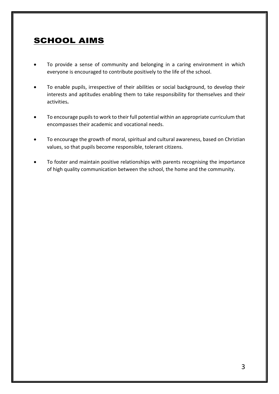## SCHOOL AIMS

- To provide a sense of community and belonging in a caring environment in which everyone is encouraged to contribute positively to the life of the school.
- To enable pupils, irrespective of their abilities or social background, to develop their interests and aptitudes enabling them to take responsibility for themselves and their activities**.**
- To encourage pupils to work to their full potential within an appropriate curriculum that encompasses their academic and vocational needs.
- To encourage the growth of moral, spiritual and cultural awareness, based on Christian values, so that pupils become responsible, tolerant citizens.
- To foster and maintain positive relationships with parents recognising the importance of high quality communication between the school, the home and the community.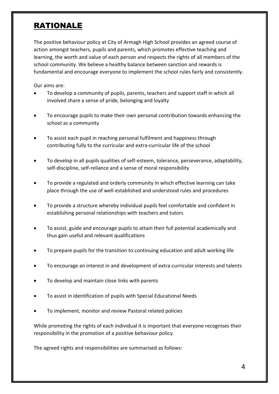## RATIONALE

The positive behaviour policy at City of Armagh High School provides an agreed course of action amongst teachers, pupils and parents, which promotes effective teaching and learning, the worth and value of each person and respects the rights of all members of the school community. We believe a healthy balance between sanction and rewards is fundamental and encourage everyone to implement the school rules fairly and consistently.

Our aims are:

- To develop a community of pupils, parents, teachers and support staff in which all involved share a sense of pride, belonging and loyalty
- To encourage pupils to make their own personal contribution towards enhancing the school as a community
- To assist each pupil in reaching personal fulfilment and happiness through contributing fully to the curricular and extra-curricular life of the school
- To develop in all pupils qualities of self-esteem, tolerance, perseverance, adaptability, self-discipline, self-reliance and a sense of moral responsibility
- To provide a regulated and orderly community in which effective learning can take place through the use of well-established and understood rules and procedures
- To provide a structure whereby individual pupils feel comfortable and confident in establishing personal relationships with teachers and tutors
- To assist, guide and encourage pupils to attain their full potential academically and thus gain useful and relevant qualifications
- To prepare pupils for the transition to continuing education and adult working life
- To encourage an interest in and development of extra-curricular interests and talents
- To develop and maintain close links with parents
- To assist in identification of pupils with Special Educational Needs
- To implement, monitor and review Pastoral related policies

While promoting the rights of each individual it is important that everyone recognises their responsibility in the promotion of a positive behaviour policy.

The agreed rights and responsibilities are summarised as follows: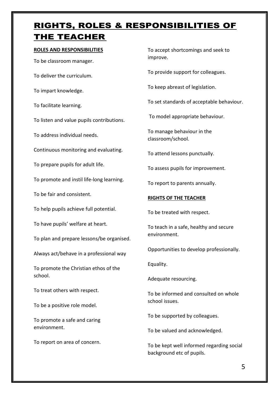## RIGHTS, ROLES & RESPONSIBILITIES OF THE TEACHER

#### **ROLES AND RESPONSIBILITIES**

To be classroom manager. To deliver the curriculum. To impart knowledge. To facilitate learning. To listen and value pupils contributions. To address individual needs. Continuous monitoring and evaluating. To prepare pupils for adult life. To promote and instil life-long learning. To be fair and consistent. To help pupils achieve full potential. To have pupils' welfare at heart. To plan and prepare lessons/be organised. Always act/behave in a professional way To promote the Christian ethos of the school. To treat others with respect.

To be a positive role model.

To promote a safe and caring environment.

To report on area of concern.

To accept shortcomings and seek to improve.

To provide support for colleagues.

To keep abreast of legislation.

To set standards of acceptable behaviour.

To model appropriate behaviour.

To manage behaviour in the classroom/school.

To attend lessons punctually.

To assess pupils for improvement.

To report to parents annually.

#### **RIGHTS OF THE TEACHER**

To be treated with respect.

To teach in a safe, healthy and secure environment.

Opportunities to develop professionally.

Equality.

Adequate resourcing.

To be informed and consulted on whole school issues.

To be supported by colleagues.

To be valued and acknowledged.

To be kept well informed regarding social background etc of pupils.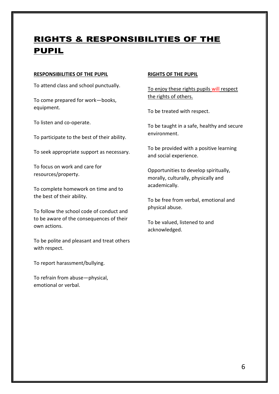## RIGHTS & RESPONSIBILITIES OF THE **PUPIL**

#### **RESPONSIBILITIES OF THE PUPIL**

To attend class and school punctually.

To come prepared for work—books, equipment.

To listen and co-operate.

To participate to the best of their ability.

To seek appropriate support as necessary.

To focus on work and care for resources/property.

To complete homework on time and to the best of their ability.

To follow the school code of conduct and to be aware of the consequences of their own actions.

To be polite and pleasant and treat others with respect.

To report harassment/bullying.

To refrain from abuse—physical, emotional or verbal.

#### **RIGHTS OF THE PUPIL**

To enjoy these rights pupils will respect the rights of others.

To be treated with respect.

To be taught in a safe, healthy and secure environment.

To be provided with a positive learning and social experience.

Opportunities to develop spiritually, morally, culturally, physically and academically.

To be free from verbal, emotional and physical abuse.

To be valued, listened to and acknowledged.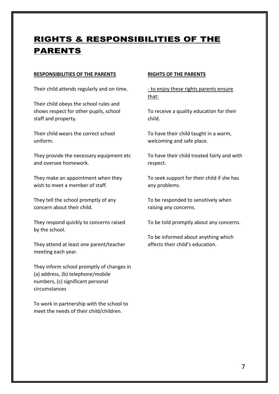## RIGHTS & RESPONSIBILITIES OF THE PARENTS

#### **RESPONSIBILITIES OF THE PARENTS**

Their child attends regularly and on time.

Their child obeys the school rules and shows respect for other pupils, school staff and property.

Their child wears the correct school uniform.

They provide the necessary equipment etc and oversee homework.

They make an appointment when they wish to meet a member of staff.

They tell the school promptly of any concern about their child.

They respond quickly to concerns raised by the school.

They attend at least one parent/teacher meeting each year.

They inform school promptly of changes in (a) address, (b) telephone/mobile numbers, (c) significant personal circumstances

To work in partnership with the school to meet the needs of their child/children.

#### **RIGHTS OF THE PARENTS**

- to enjoy these rights parents ensure that:

To receive a quality education for their child.

To have their child taught in a warm, welcoming and safe place.

To have their child treated fairly and with respect.

To seek support for their child if she has any problems.

To be responded to sensitively when raising any concerns.

To be told promptly about any concerns.

To be informed about anything which affects their child's education.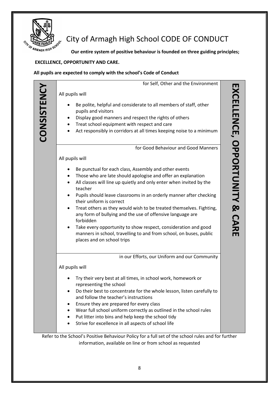

## $\frac{1}{2}$   $\frac{1}{2}$   $\frac{1}{2}$   $\frac{1}{2}$   $\frac{1}{2}$   $\frac{1}{2}$  City of Armagh High School CODE OF CONDUCT

 **Our entire system of positive behaviour is founded on three guiding principles;**

#### **EXCELLENCE, OPPORTUNITY AND CARE.**

#### **All pupils are expected to comply with the school's Code of Conduct**

|                                                       | for Self, Other and the Environment                                                                                                                                                                                                                                                                                                                                                                                                                                                                                                                                                                                               |
|-------------------------------------------------------|-----------------------------------------------------------------------------------------------------------------------------------------------------------------------------------------------------------------------------------------------------------------------------------------------------------------------------------------------------------------------------------------------------------------------------------------------------------------------------------------------------------------------------------------------------------------------------------------------------------------------------------|
| All pupils will                                       |                                                                                                                                                                                                                                                                                                                                                                                                                                                                                                                                                                                                                                   |
|                                                       | Be polite, helpful and considerate to all members of staff, other<br>pupils and visitors<br>Display good manners and respect the rights of others<br>Treat school equipment with respect and care<br>Act responsibly in corridors at all times keeping noise to a minimum                                                                                                                                                                                                                                                                                                                                                         |
|                                                       | for Good Behaviour and Good Manners                                                                                                                                                                                                                                                                                                                                                                                                                                                                                                                                                                                               |
| All pupils will                                       |                                                                                                                                                                                                                                                                                                                                                                                                                                                                                                                                                                                                                                   |
| ٠<br>$\bullet$<br>$\bullet$<br>$\bullet$<br>$\bullet$ | Be punctual for each class, Assembly and other events<br>Those who are late should apologise and offer an explanation<br>All classes will line up quietly and only enter when invited by the<br>teacher<br>Pupils should leave classrooms in an orderly manner after checking<br>their uniform is correct<br>Treat others as they would wish to be treated themselves. Fighting,<br>any form of bullying and the use of offensive language are<br>forbidden<br>Take every opportunity to show respect, consideration and good<br>manners in school, travelling to and from school, on buses, public<br>places and on school trips |
|                                                       | in our Efforts, our Uniform and our Community                                                                                                                                                                                                                                                                                                                                                                                                                                                                                                                                                                                     |
| All pupils will                                       |                                                                                                                                                                                                                                                                                                                                                                                                                                                                                                                                                                                                                                   |
| ٠<br>٠<br>٠                                           | Try their very best at all times, in school work, homework or<br>representing the school<br>Do their best to concentrate for the whole lesson, listen carefully to<br>and follow the teacher's instructions<br>Ensure they are prepared for every class<br>Wear full school uniform correctly as outlined in the school rules<br>Put litter into bins and help keep the school tidy<br>Strive for excellence in all aspects of school life                                                                                                                                                                                        |

Refer to the School's Positive Behaviour Policy for a full set of the school rules and for further information, available on line or from school as requested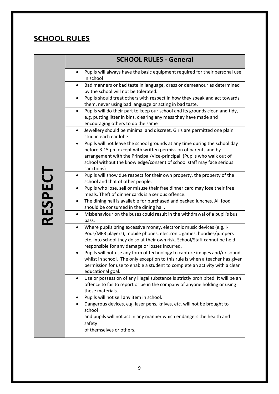## **SCHOOL RULES**

|                | <b>SCHOOL RULES - General</b>                                                                                                                                                                                                                                                                                               |
|----------------|-----------------------------------------------------------------------------------------------------------------------------------------------------------------------------------------------------------------------------------------------------------------------------------------------------------------------------|
| <b>RESPECT</b> | Pupils will always have the basic equipment required for their personal use<br>$\bullet$<br>in school                                                                                                                                                                                                                       |
|                | Bad manners or bad taste in language, dress or demeanour as determined<br>$\bullet$<br>by the school will not be tolerated.                                                                                                                                                                                                 |
|                | Pupils should treat others with respect in how they speak and act towards<br>$\bullet$<br>them, never using bad language or acting in bad taste.                                                                                                                                                                            |
|                | Pupils will do their part to keep our school and its grounds clean and tidy,<br>e.g. putting litter in bins, clearing any mess they have made and<br>encouraging others to do the same                                                                                                                                      |
|                | Jewellery should be minimal and discreet. Girls are permitted one plain<br>$\bullet$<br>stud in each ear lobe.                                                                                                                                                                                                              |
|                | Pupils will not leave the school grounds at any time during the school day<br>$\bullet$<br>before 3.15 pm except with written permission of parents and by<br>arrangement with the Principal/Vice-principal. (Pupils who walk out of<br>school without the knowledge/consent of school staff may face serious<br>sanctions) |
|                | Pupils will show due respect for their own property, the property of the<br>$\bullet$<br>school and that of other people.                                                                                                                                                                                                   |
|                | Pupils who lose, sell or misuse their free dinner card may lose their free<br>٠<br>meals. Theft of dinner cards is a serious offence.                                                                                                                                                                                       |
|                | The dining hall is available for purchased and packed lunches. All food<br>٠<br>should be consumed in the dining hall.                                                                                                                                                                                                      |
|                | Misbehaviour on the buses could result in the withdrawal of a pupil's bus<br>$\bullet$<br>pass.                                                                                                                                                                                                                             |
|                | Where pupils bring excessive money, electronic music devices (e.g. i-<br>$\bullet$<br>Pods/MP3 players), mobile phones, electronic games, hoodies/jumpers<br>etc. into school they do so at their own risk. School/Staff cannot be held<br>responsible for any damage or losses incurred.                                   |
|                | Pupils will not use any form of technology to capture images and/or sound<br>whilst in school. The only exception to this rule is when a teacher has given<br>permission for use to enable a student to complete an activity with a clear<br>educational goal.                                                              |
|                | Use or possession of any illegal substance is strictly prohibited. It will be an<br>$\bullet$<br>offence to fail to report or be in the company of anyone holding or using<br>these materials.                                                                                                                              |
|                | Pupils will not sell any item in school.<br>$\bullet$<br>Dangerous devices, e.g. laser pens, knives, etc. will not be brought to                                                                                                                                                                                            |
|                | school<br>and pupils will not act in any manner which endangers the health and<br>safety                                                                                                                                                                                                                                    |
|                | of themselves or others.                                                                                                                                                                                                                                                                                                    |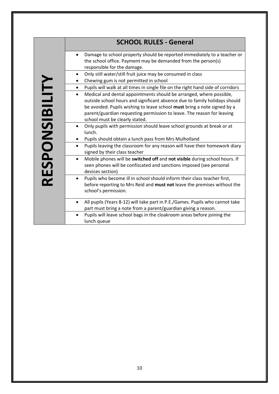|                | <b>SCHOOL RULES - General</b>                                                                                                                                                                                                                                                                                                                          |
|----------------|--------------------------------------------------------------------------------------------------------------------------------------------------------------------------------------------------------------------------------------------------------------------------------------------------------------------------------------------------------|
|                | Damage to school property should be reported immediately to a teacher or<br>$\bullet$<br>the school office. Payment may be demanded from the person(s)<br>responsible for the damage.                                                                                                                                                                  |
|                | Only still water/still fruit juice may be consumed in class<br>$\bullet$<br>Chewing gum is not permitted in school                                                                                                                                                                                                                                     |
|                | Pupils will walk at all times in single file on the right hand side of corridors<br>$\bullet$                                                                                                                                                                                                                                                          |
| RESPONSIBILITY | Medical and dental appointments should be arranged, where possible,<br>$\bullet$<br>outside school hours and significant absence due to family holidays should<br>be avoided. Pupils wishing to leave school must bring a note signed by a<br>parent/guardian requesting permission to leave. The reason for leaving<br>school must be clearly stated. |
|                | Only pupils with permission should leave school grounds at break or at<br>$\bullet$<br>lunch.<br>Pupils should obtain a lunch pass from Mrs Mulholland<br>٠                                                                                                                                                                                            |
|                | Pupils leaving the classroom for any reason will have their homework diary<br>$\bullet$<br>signed by their class teacher                                                                                                                                                                                                                               |
|                | Mobile phones will be switched off and not visible during school hours. If<br>$\bullet$<br>seen phones will be confiscated and sanctions imposed (see personal<br>devices section)                                                                                                                                                                     |
|                | Pupils who become ill in school should inform their class teacher first,<br>$\bullet$<br>before reporting to Mrs Reid and must not leave the premises without the<br>school's permission.                                                                                                                                                              |
|                | All pupils (Years 8-12) will take part in P.E./Games. Pupils who cannot take<br>$\bullet$<br>part must bring a note from a parent/guardian giving a reason.                                                                                                                                                                                            |
|                | Pupils will leave school bags in the cloakroom areas before joining the<br>lunch queue                                                                                                                                                                                                                                                                 |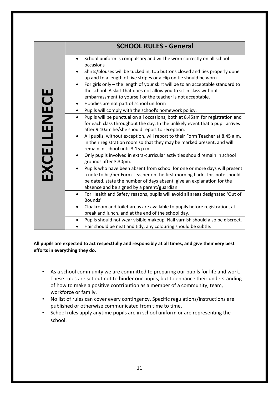|             | <b>SCHOOL RULES - General</b>                                                                                                                                             |  |  |
|-------------|---------------------------------------------------------------------------------------------------------------------------------------------------------------------------|--|--|
|             |                                                                                                                                                                           |  |  |
|             | School uniform is compulsory and will be worn correctly on all school<br>$\bullet$                                                                                        |  |  |
|             | occasions                                                                                                                                                                 |  |  |
|             | Shirts/blouses will be tucked in, top buttons closed and ties properly done<br>٠                                                                                          |  |  |
|             | up and to a length of five stripes or a clip on tie should be worn                                                                                                        |  |  |
|             | For girls only – the length of your skirt will be to an acceptable standard to<br>$\bullet$                                                                               |  |  |
|             | the school. A skirt that does not allow you to sit in class without                                                                                                       |  |  |
|             | embarrassment to yourself or the teacher is not acceptable.                                                                                                               |  |  |
|             | Hoodies are not part of school uniform<br>٠                                                                                                                               |  |  |
|             | Pupils will comply with the school's homework policy.<br>$\bullet$                                                                                                        |  |  |
|             | Pupils will be punctual on all occasions, both at 8.45am for registration and<br>$\bullet$                                                                                |  |  |
|             | for each class throughout the day. In the unlikely event that a pupil arrives                                                                                             |  |  |
|             | after 9.10am he/she should report to reception.<br>All pupils, without exception, will report to their Form Teacher at 8.45 a.m.<br>$\bullet$                             |  |  |
|             | in their registration room so that they may be marked present, and will                                                                                                   |  |  |
|             | remain in school until 3.15 p.m.                                                                                                                                          |  |  |
|             | Only pupils involved in extra-curricular activities should remain in school<br>$\bullet$                                                                                  |  |  |
|             | grounds after 3.30pm.                                                                                                                                                     |  |  |
| EXCELLENECE | Pupils who have been absent from school for one or more days will present<br>$\bullet$                                                                                    |  |  |
|             | a note to his/her Form Teacher on the first morning back. This note should                                                                                                |  |  |
|             | be dated, state the number of days absent, give an explanation for the                                                                                                    |  |  |
|             | absence and be signed by a parent/guardian.                                                                                                                               |  |  |
|             | For Health and Safety reasons, pupils will avoid all areas designated 'Out of<br>$\bullet$<br>Bounds'                                                                     |  |  |
|             | Cloakroom and toilet areas are available to pupils before registration, at                                                                                                |  |  |
|             | break and lunch, and at the end of the school day.                                                                                                                        |  |  |
|             | Pupils should not wear visible makeup. Nail varnish should also be discreet.<br>$\bullet$                                                                                 |  |  |
|             | Hair should be neat and tidy, any colouring should be subtle.                                                                                                             |  |  |
|             |                                                                                                                                                                           |  |  |
|             |                                                                                                                                                                           |  |  |
|             | All pupils are expected to act respectfully and responsibly at all times, and give their very best<br>efforts in everything they do.                                      |  |  |
|             |                                                                                                                                                                           |  |  |
|             |                                                                                                                                                                           |  |  |
|             |                                                                                                                                                                           |  |  |
| ٠           | As a school community we are committed to preparing our pupils for life and work.<br>These rules are set out not to hinder our pupils, but to enhance their understanding |  |  |
|             |                                                                                                                                                                           |  |  |
|             | of how to make a positive contribution as a member of a community, team,                                                                                                  |  |  |
|             | workforce or family.                                                                                                                                                      |  |  |
| ٠           | No list of rules can cover every contingency. Specific regulations/instructions are                                                                                       |  |  |
|             | published or otherwise communicated from time to time.                                                                                                                    |  |  |
| ٠           | School rules apply anytime pupils are in school uniform or are representing the<br>school.                                                                                |  |  |

#### **All pupils are expected to act respectfully and responsibly at all times, and give their very best efforts in everything they do.**

- As a school community we are committed to preparing our pupils for life and work. These rules are set out not to hinder our pupils, but to enhance their understanding of how to make a positive contribution as a member of a community, team, workforce or family.
- No list of rules can cover every contingency. Specific regulations/instructions are published or otherwise communicated from time to time.
- School rules apply anytime pupils are in school uniform or are representing the school.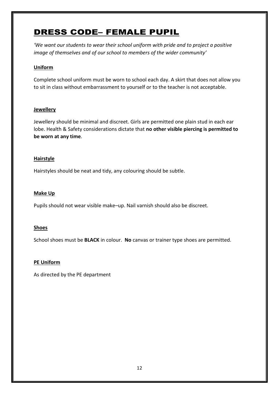## DRESS CODE– FEMALE PUPIL

*'We want our students to wear their school uniform with pride and to project a positive image of themselves and of our school to members of the wider community'*

### **Uniform**

Complete school uniform must be worn to school each day. A skirt that does not allow you to sit in class without embarrassment to yourself or to the teacher is not acceptable.

#### **Jewellery**

Jewellery should be minimal and discreet. Girls are permitted one plain stud in each ear lobe. Health & Safety considerations dictate that **no other visible piercing is permitted to be worn at any time**.

#### **Hairstyle**

Hairstyles should be neat and tidy, any colouring should be subtle.

#### **Make Up**

Pupils should not wear visible make–up. Nail varnish should also be discreet.

#### **Shoes**

School shoes must be **BLACK** in colour. **No** canvas or trainer type shoes are permitted.

#### **PE Uniform**

As directed by the PE department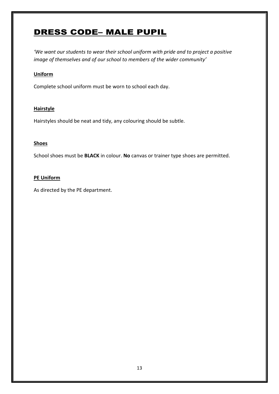## DRESS CODE– MALE PUPIL

*'We want our students to wear their school uniform with pride and to project a positive image of themselves and of our school to members of the wider community'*

#### **Uniform**

Complete school uniform must be worn to school each day.

#### **Hairstyle**

Hairstyles should be neat and tidy, any colouring should be subtle.

#### **Shoes**

School shoes must be **BLACK** in colour. **No** canvas or trainer type shoes are permitted.

#### **PE Uniform**

As directed by the PE department.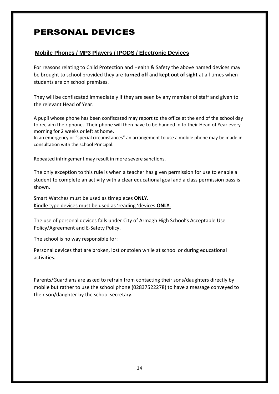## PERSONAL DEVICES

### **Mobile Phones / MP3 Players / IPODS / Electronic Devices**

For reasons relating to Child Protection and Health & Safety the above named devices may be brought to school provided they are **turned off** and **kept out of sight** at all times when students are on school premises.

They will be confiscated immediately if they are seen by any member of staff and given to the relevant Head of Year.

A pupil whose phone has been confiscated may report to the office at the end of the school day to reclaim their phone. Their phone will then have to be handed in to their Head of Year every morning for 2 weeks or left at home.

In an emergency or "special circumstances" an arrangement to use a mobile phone may be made in consultation with the school Principal.

Repeated infringement may result in more severe sanctions.

The only exception to this rule is when a teacher has given permission for use to enable a student to complete an activity with a clear educational goal and a class permission pass is shown.

Smart Watches must be used as timepieces **ONLY**. Kindle type devices must be used as 'reading 'devices **ONLY**.

The use of personal devices falls under City of Armagh High School's Acceptable Use Policy/Agreement and E-Safety Policy.

The school is no way responsible for:

Personal devices that are broken, lost or stolen while at school or during educational activities.

Parents/Guardians are asked to refrain from contacting their sons/daughters directly by mobile but rather to use the school phone (02837522278) to have a message conveyed to their son/daughter by the school secretary.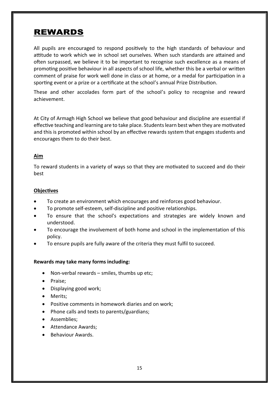## REWARDS

All pupils are encouraged to respond positively to the high standards of behaviour and attitude to work which we in school set ourselves. When such standards are attained and often surpassed, we believe it to be important to recognise such excellence as a means of promoting positive behaviour in all aspects of school life, whether this be a verbal or written comment of praise for work well done in class or at home, or a medal for participation in a sporting event or a prize or a certificate at the school's annual Prize Distribution.

These and other accolades form part of the school's policy to recognise and reward achievement.

At City of Armagh High School we believe that good behaviour and discipline are essential if effective teaching and learning are to take place. Students learn best when they are motivated and this is promoted within school by an effective rewards system that engages students and encourages them to do their best.

#### **Aim**

To reward students in a variety of ways so that they are motivated to succeed and do their best

#### **Objectives**

- To create an environment which encourages and reinforces good behaviour.
- To promote self-esteem, self-discipline and positive relationships.
- To ensure that the school's expectations and strategies are widely known and understood.
- To encourage the involvement of both home and school in the implementation of this policy.
- To ensure pupils are fully aware of the criteria they must fulfil to succeed.

#### **Rewards may take many forms including:**

- Non-verbal rewards smiles, thumbs up etc;
- Praise;
- Displaying good work;
- Merits;
- Positive comments in homework diaries and on work;
- Phone calls and texts to parents/guardians;
- Assemblies:
- Attendance Awards:
- Behaviour Awards.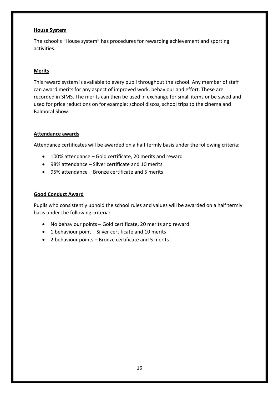#### **House System**

The school's "House system" has procedures for rewarding achievement and sporting activities.

#### **Merits**

This reward system is available to every pupil throughout the school. Any member of staff can award merits for any aspect of improved work, behaviour and effort. These are recorded in SIMS. The merits can then be used in exchange for small items or be saved and used for price reductions on for example; school discos, school trips to the cinema and Balmoral Show.

#### **Attendance awards**

Attendance certificates will be awarded on a half termly basis under the following criteria:

- 100% attendance Gold certificate, 20 merits and reward
- 98% attendance Silver certificate and 10 merits
- 95% attendance Bronze certificate and 5 merits

#### **Good Conduct Award**

Pupils who consistently uphold the school rules and values will be awarded on a half termly basis under the following criteria:

- No behaviour points Gold certificate, 20 merits and reward
- 1 behaviour point Silver certificate and 10 merits
- 2 behaviour points Bronze certificate and 5 merits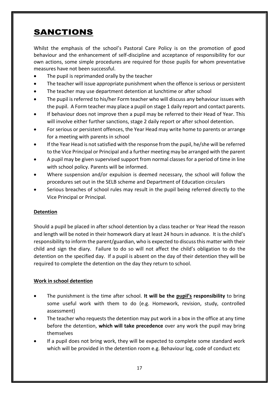## SANCTIONS

Whilst the emphasis of the school's Pastoral Care Policy is on the promotion of good behaviour and the enhancement of self-discipline and acceptance of responsibility for our own actions, some simple procedures are required for those pupils for whom preventative measures have not been successful.

- The pupil is reprimanded orally by the teacher
- The teacher will issue appropriate punishment when the offence is serious or persistent
- The teacher may use department detention at lunchtime or after school
- The pupil is referred to his/her Form teacher who will discuss any behaviour issues with the pupil. A Form teacher may place a pupil on stage 1 daily report and contact parents.
- If behaviour does not improve then a pupil may be referred to their Head of Year. This will involve either further sanctions, stage 2 daily report or after school detention.
- For serious or persistent offences, the Year Head may write home to parents or arrange for a meeting with parents in school
- If the Year Head is not satisfied with the response from the pupil, he/she will be referred to the Vice Principal or Principal and a further meeting may be arranged with the parent
- A pupil may be given supervised support from normal classes for a period of time in line with school policy. Parents will be informed.
- Where suspension and/or expulsion is deemed necessary, the school will follow the procedures set out in the SELB scheme and Department of Education circulars
- Serious breaches of school rules may result in the pupil being referred directly to the Vice Principal or Principal.

#### **Detention**

Should a pupil be placed in after school detention by a class teacher or Year Head the reason and length will be noted in their homework diary at least 24 hours in advance. It is the child's responsibility to inform the parent/guardian, who is expected to discuss this matter with their child and sign the diary. Failure to do so will not affect the child's obligation to do the detention on the specified day. If a pupil is absent on the day of their detention they will be required to complete the detention on the day they return to school.

#### **Work in school detention**

- The punishment is the time after school. **It will be the pupil's responsibility** to bring some useful work with them to do (e.g. Homework, revision, study, controlled assessment)
- The teacher who requests the detention may put work in a box in the office at any time before the detention, **which will take precedence** over any work the pupil may bring themselves
- If a pupil does not bring work, they will be expected to complete some standard work which will be provided in the detention room e.g. Behaviour log, code of conduct etc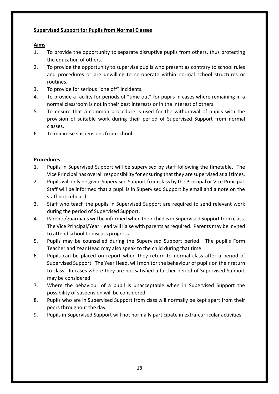#### **Supervised Support for Pupils from Normal Classes**

#### **Aims**

- 1. To provide the opportunity to separate disruptive pupils from others, thus protecting the education of others.
- 2. To provide the opportunity to supervise pupils who present as contrary to school rules and procedures or are unwilling to co-operate within normal school structures or routines.
- 3. To provide for serious "one off" incidents.
- 4. To provide a facility for periods of "time out" for pupils in cases where remaining in a normal classroom is not in their best interests or in the interest of others.
- 5. To ensure that a common procedure is used for the withdrawal of pupils with the provision of suitable work during their period of Supervised Support from normal classes.
- 6. To minimise suspensions from school.

#### **Procedures**

- 1. Pupils in Supervised Support will be supervised by staff following the timetable. The Vice Principal has overall responsibility for ensuring that they are supervised at all times.
- 2. Pupils will only be given Supervised Support from class by the Principal or Vice Principal. Staff will be informed that a pupil is in Supervised Support by email and a note on the staff noticeboard.
- 3. Staff who teach the pupils in Supervised Support are required to send relevant work during the period of Supervised Support.
- 4. Parents/guardians will be informed when their child is in Supervised Support from class. The Vice Principal/Year Head will liaise with parents as required. Parents may be invited to attend school to discuss progress.
- 5. Pupils may be counselled during the Supervised Support period. The pupil's Form Teacher and Year Head may also speak to the child during that time.
- 6. Pupils can be placed on report when they return to normal class after a period of Supervised Support. The Year Head, will monitor the behaviour of pupils on their return to class. In cases where they are not satisfied a further period of Supervised Support may be considered.
- 7. Where the behaviour of a pupil is unacceptable when in Supervised Support the possibility of suspension will be considered.
- 8. Pupils who are in Supervised Support from class will normally be kept apart from their peers throughout the day.
- 9. Pupils in Supervised Support will not normally participate in extra-curricular activities.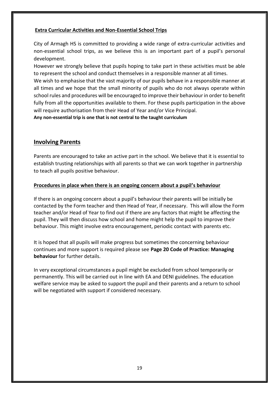#### **Extra Curricular Activities and Non-Essential School Trips**

City of Armagh HS is committed to providing a wide range of extra-curricular activities and non-essential school trips, as we believe this is an important part of a pupil's personal development.

However we strongly believe that pupils hoping to take part in these activities must be able to represent the school and conduct themselves in a responsible manner at all times.

We wish to emphasise that the vast majority of our pupils behave in a responsible manner at all times and we hope that the small minority of pupils who do not always operate within school rules and procedures will be encouraged to improve their behaviour in order to benefit fully from all the opportunities available to them. For these pupils participation in the above will require authorisation from their Head of Year and/or Vice Principal.

**Any non-essential trip is one that is not central to the taught curriculum**

#### **Involving Parents**

Parents are encouraged to take an active part in the school. We believe that it is essential to establish trusting relationships with all parents so that we can work together in partnership to teach all pupils positive behaviour.

#### **Procedures in place when there is an ongoing concern about a pupil's behaviour**

If there is an ongoing concern about a pupil's behaviour their parents will be initially be contacted by the Form teacher and then Head of Year, if necessary. This will allow the Form teacher and/or Head of Year to find out if there are any factors that might be affecting the pupil. They will then discuss how school and home might help the pupil to improve their behaviour. This might involve extra encouragement, periodic contact with parents etc.

It is hoped that all pupils will make progress but sometimes the concerning behaviour continues and more support is required please see **Page 20 Code of Practice: Managing behaviour** for further details.

In very exceptional circumstances a pupil might be excluded from school temporarily or permanently. This will be carried out in line with EA and DENI guidelines. The education welfare service may be asked to support the pupil and their parents and a return to school will be negotiated with support if considered necessary.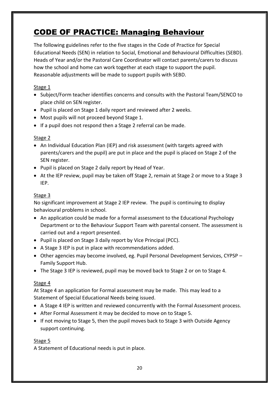## CODE OF PRACTICE: Managing Behaviour

The following guidelines refer to the five stages in the Code of Practice for Special Educational Needs (SEN) in relation to Social, Emotional and Behavioural Difficulties (SEBD). Heads of Year and/or the Pastoral Care Coordinator will contact parents/carers to discuss how the school and home can work together at each stage to support the pupil. Reasonable adjustments will be made to support pupils with SEBD.

#### Stage 1

- Subject/Form teacher identifies concerns and consults with the Pastoral Team/SENCO to place child on SEN register.
- Pupil is placed on Stage 1 daily report and reviewed after 2 weeks.
- Most pupils will not proceed beyond Stage 1.
- If a pupil does not respond then a Stage 2 referral can be made.

#### Stage 2

- An Individual Education Plan (IEP) and risk assessment (with targets agreed with parents/carers and the pupil) are put in place and the pupil is placed on Stage 2 of the SEN register.
- Pupil is placed on Stage 2 daily report by Head of Year.
- At the IEP review, pupil may be taken off Stage 2, remain at Stage 2 or move to a Stage 3 IEP.

#### Stage 3

No significant improvement at Stage 2 IEP review. The pupil is continuing to display behavioural problems in school.

- An application could be made for a formal assessment to the Educational Psychology Department or to the Behaviour Support Team with parental consent. The assessment is carried out and a report presented.
- Pupil is placed on Stage 3 daily report by Vice Principal (PCC).
- A Stage 3 IEP is put in place with recommendations added.
- Other agencies may become involved, eg. Pupil Personal Development Services, CYPSP Family Support Hub.
- The Stage 3 IEP is reviewed, pupil may be moved back to Stage 2 or on to Stage 4.

#### Stage 4

At Stage 4 an application for Formal assessment may be made. This may lead to a Statement of Special Educational Needs being issued.

- A Stage 4 IEP is written and reviewed concurrently with the Formal Assessment process.
- After Formal Assessment it may be decided to move on to Stage 5.
- If not moving to Stage 5, then the pupil moves back to Stage 3 with Outside Agency support continuing.

#### Stage 5

A Statement of Educational needs is put in place.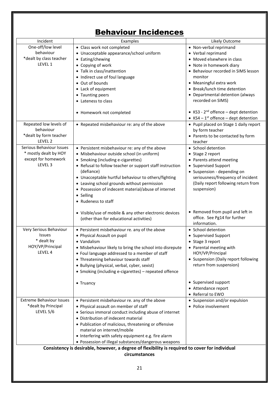#### Behaviour Incidences Incident Examples Likely Outcome One-off/low level behaviour \*dealt by class teacher LEVEL 1 Class work not completed Unacceptable appearance/school uniform • Eating/chewing Copying of work • Talk in class/inattention • Indirect use of foul language Out of bounds Lack of equipment • Taunting peers • Lateness to class Homework not completed Non-verbal reprimand Verbal reprimand Moved elsewhere in class • Note in homework diary Behaviour recorded in SIMS lesson monitor Meaningful extra work • Break/lunch time detention Departmental detention (always recorded on SIMS) • KS3 - 2<sup>nd</sup> offence – dept detention •  $KS4 - 1<sup>st</sup>$  offence – dept detention Repeated low levels of behaviour \*dealt by form teacher LEVEL 2 • Repeated misbehaviour re: any of the above  $\vert \cdot \vert$  Pupil placed on Stage 1 daily report by form teacher • Parents to be contacted by form teacher Serious Behaviour Issues \* mostly dealt by HOY except for homework LEVEL 3 Persistent misbehaviour re: any of the above Misbehaviour outside school (in uniform) • Smoking (including e-cigarettes) • Refusal to follow teacher or support staff instruction (defiance) Unacceptable hurtful behaviour to others/fighting Leaving school grounds without permission Possession of indecent material/abuse of internet • Selling • Rudeness to staff Visible/use of mobile & any other electronic devices (other than for educational activities) • School detention • Stage 2 report • Parents attend meeting • Supervised Support • Suspension - depending on seriousness/frequency of incident (Daily report following return from suspension) • Removed from pupil and left in office. See Pg14 for further information. Very Serious Behaviour Issues \* dealt by HOY/VP/Principal LEVEL 4 Persistent misbehaviour re. any of the above Physical Assault on pupil Vandalism Misbehaviour likely to bring the school into disrepute Foul language addressed to a member of staff Threatening behaviour towards staff Bullying (physical, verbal, cyber, sexist) • Smoking (including e-cigarettes) – repeated offence • Truancy • School detention • Supervised Support • Stage 3 report Parental meeting with HOY/VP/Principal • Suspension (Daily report following return from suspension) • Supervised support Attendance report Referral to EWO Extreme Behaviour Issues \*dealt by Principal LEVEL 5/6 Persistent misbehaviour re. any of the above Physical assault on member of staff Serious immoral conduct including abuse of internet Distribution of indecent material • Suspension and/or expulsion • Police involvement

• Interfering with safety equipment e.g. fire alarm Possession of illegal substances/dangerous weapons **Consistency is desirable, however, a degree of flexibility is required to cover for individual circumstances**

Publication of malicious, threatening or offensive

material on internet/mobile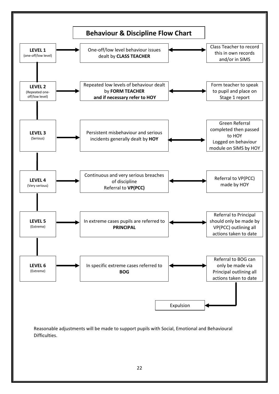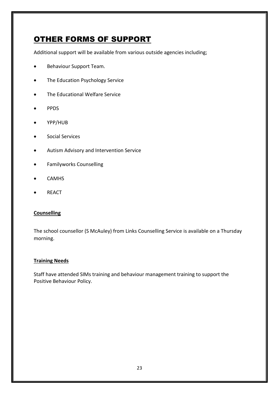## OTHER FORMS OF SUPPORT

Additional support will be available from various outside agencies including;

- **•** Behaviour Support Team.
- The Education Psychology Service
- The Educational Welfare Service
- PPDS
- YPP/HUB
- Social Services
- Autism Advisory and Intervention Service
- Familyworks Counselling
- CAMHS
- REACT

#### **Counselling**

The school counsellor (S McAuley) from Links Counselling Service is available on a Thursday morning.

#### **Training Needs**

Staff have attended SIMs training and behaviour management training to support the Positive Behaviour Policy.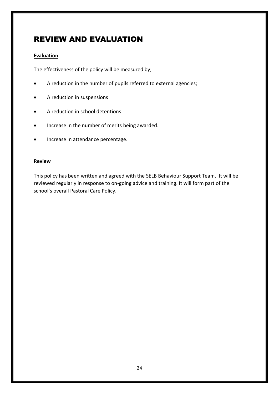## REVIEW AND EVALUATION

#### **Evaluation**

The effectiveness of the policy will be measured by;

- A reduction in the number of pupils referred to external agencies;
- A reduction in suspensions
- A reduction in school detentions
- Increase in the number of merits being awarded.
- **•** Increase in attendance percentage.

#### **Review**

This policy has been written and agreed with the SELB Behaviour Support Team. It will be reviewed regularly in response to on-going advice and training. It will form part of the school's overall Pastoral Care Policy.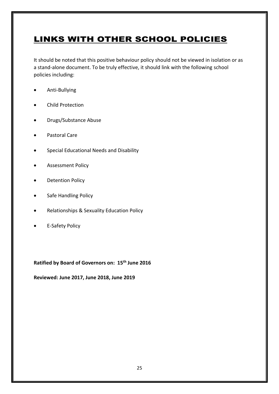## LINKS WITH OTHER SCHOOL POLICIES

It should be noted that this positive behaviour policy should not be viewed in isolation or as a stand-alone document. To be truly effective, it should link with the following school policies including:

- Anti-Bullying
- Child Protection
- Drugs/Substance Abuse
- Pastoral Care
- **•** Special Educational Needs and Disability
- Assessment Policy
- Detention Policy
- **•** Safe Handling Policy
- Relationships & Sexuality Education Policy
- E-Safety Policy

**Ratified by Board of Governors on: 15th June 2016**

**Reviewed: June 2017, June 2018, June 2019**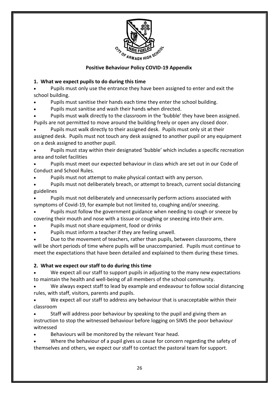

#### **Positive Behaviour Policy COVID-19 Appendix**

#### **1. What we expect pupils to do during this time**

 Pupils must only use the entrance they have been assigned to enter and exit the school building.

Pupils must sanitise their hands each time they enter the school building.

Pupils must sanitise and wash their hands when directed.

 Pupils must walk directly to the classroom in the 'bubble' they have been assigned. Pupils are not permitted to move around the building freely or open any closed door.

 Pupils must walk directly to their assigned desk. Pupils must only sit at their assigned desk. Pupils must not touch any desk assigned to another pupil or any equipment on a desk assigned to another pupil.

 Pupils must stay within their designated 'bubble' which includes a specific recreation area and toilet facilities

 Pupils must meet our expected behaviour in class which are set out in our Code of Conduct and School Rules*.*

Pupils must not attempt to make physical contact with any person.

 Pupils must not deliberately breach, or attempt to breach, current social distancing guidelines

 Pupils must not deliberately and unnecessarily perform actions associated with symptoms of Covid-19, for example but not limited to, coughing and/or sneezing.

 Pupils must follow the government guidance when needing to cough or sneeze by covering their mouth and nose with a tissue or coughing or sneezing into their arm.

- Pupils must not share equipment, food or drinks
- Pupils must inform a teacher if they are feeling unwell.

 Due to the movement of teachers, rather than pupils, between classrooms, there will be short periods of time where pupils will be unaccompanied. Pupils must continue to meet the expectations that have been detailed and explained to them during these times.

#### **2. What we expect our staff to do during this time**

 We expect all our staff to support pupils in adjusting to the many new expectations to maintain the health and well-being of all members of the school community.

 We always expect staff to lead by example and endeavour to follow social distancing rules, with staff, visitors, parents and pupils.

 We expect all our staff to address any behaviour that is unacceptable within their classroom

 Staff will address poor behaviour by speaking to the pupil and giving them an instruction to stop the witnessed behaviour before logging on SIMS the poor behaviour witnessed

Behaviours will be monitored by the relevant Year head.

 Where the behaviour of a pupil gives us cause for concern regarding the safety of themselves and others, we expect our staff to contact the pastoral team for support.